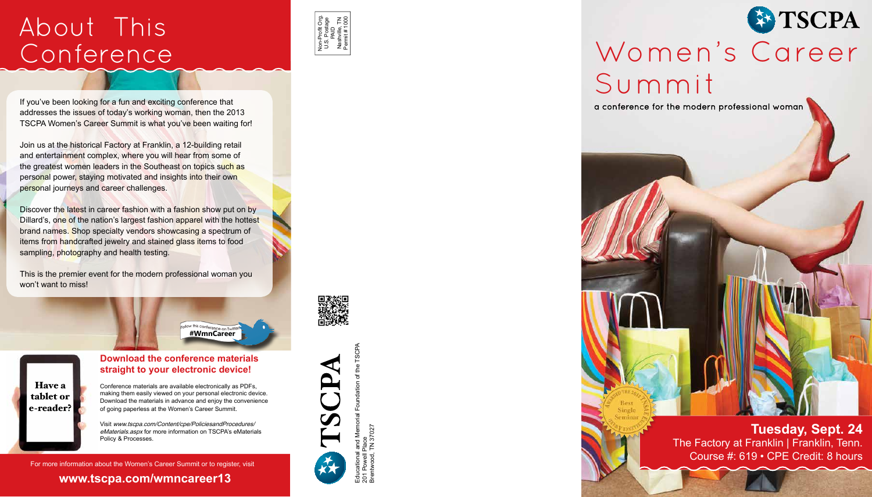# About This Conference



If you've been looking for a fun and exciting conference that addresses the issues of today's working woman, then the 2013 TSCPA Women's Career Summit is what you've been waiting for!

Join us at the historical Factory at Franklin, a 12-building retail and entertainment complex, where you will hear from some of the greatest women leaders in the Southeast on topics such as personal power, staying motivated and insights into their own personal journeys and career challenges.

Discover the latest in career fashion with a fashion show put on by Dillard's, one of the nation's largest fashion apparel with the hottest brand names. Shop specialty vendors showcasing a spectrum of items from handcrafted jewelry and stained glass items to food sampling, photography and health testing.

This is the premier event for the modern professional woman you won't want to miss!



Follow this conference on Twitter



## **Download the conference materials** straight to your electronic device!

Conference materials are available electronically as PDFs, making them easily viewed on your personal electronic device. Download the materials in advance and enjoy the convenience of going paperless at the Women's Career Summit

Visit www.tscpa.com/Content/cpe/PoliciesandProcedures/ eMaterials.aspx for more information on TSCPA's eMaterials Policy & Processes.

For more information about the Women's Career Summit or to register, visit

www.tscpa.com/wmncareer13







# Women's Career Summit

a conference for the modern professional woman

**Tuesday, Sept. 24** The Factory at Franklin | Franklin, Tenn. Course #: 619 • CPE Credit: 8 hours